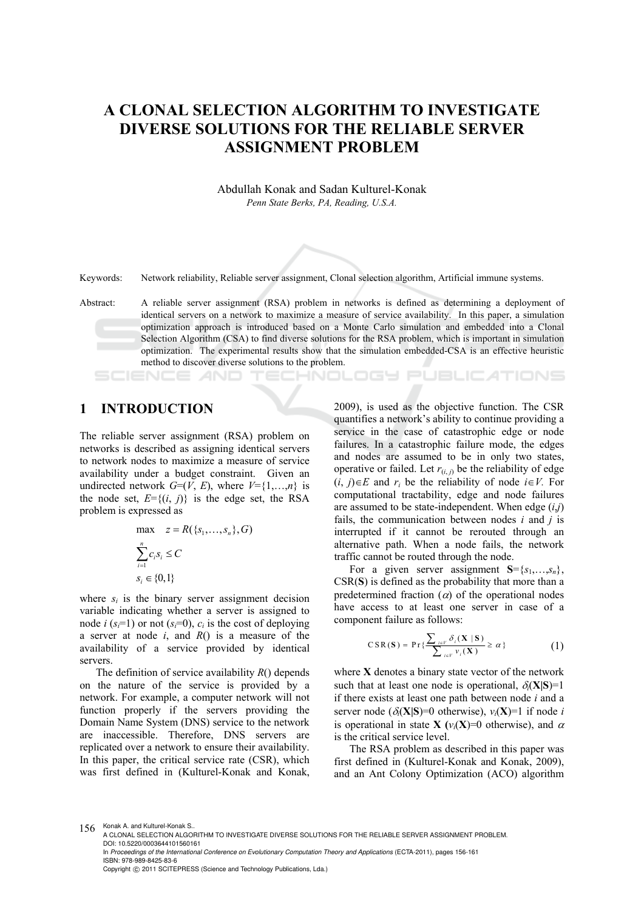# **A CLONAL SELECTION ALGORITHM TO INVESTIGATE DIVERSE SOLUTIONS FOR THE RELIABLE SERVER ASSIGNMENT PROBLEM**

Abdullah Konak and Sadan Kulturel-Konak *Penn State Berks, PA, Reading, U.S.A.* 

Keywords: Network reliability, Reliable server assignment, Clonal selection algorithm, Artificial immune systems.

Abstract: A reliable server assignment (RSA) problem in networks is defined as determining a deployment of identical servers on a network to maximize a measure of service availability. In this paper, a simulation optimization approach is introduced based on a Monte Carlo simulation and embedded into a Clonal Selection Algorithm (CSA) to find diverse solutions for the RSA problem, which is important in simulation optimization. The experimental results show that the simulation embedded-CSA is an effective heuristic method to discover diverse solutions to the problem.

### **1 INTRODUCTION**

The reliable server assignment (RSA) problem on networks is described as assigning identical servers to network nodes to maximize a measure of service availability under a budget constraint. Given an undirected network  $G=(V, E)$ , where  $V=\{1,...,n\}$  is the node set,  $E = \{(i, j)\}\$ is the edge set, the RSA problem is expressed as

$$
\max \quad z = R(\{s_1, \dots, s_n\}, G)
$$

$$
\sum_{i=1}^n c_i s_i \le C
$$

$$
s_i \in \{0, 1\}
$$

where  $s_i$  is the binary server assignment decision variable indicating whether a server is assigned to node *i* ( $s = 1$ ) or not ( $s = 0$ ),  $c_i$  is the cost of deploying a server at node *i*, and *R*() is a measure of the availability of a service provided by identical servers.

The definition of service availability *R*() depends on the nature of the service is provided by a network. For example, a computer network will not function properly if the servers providing the Domain Name System (DNS) service to the network are inaccessible. Therefore, DNS servers are replicated over a network to ensure their availability. In this paper, the critical service rate (CSR), which was first defined in (Kulturel-Konak and Konak,

2009), is used as the objective function. The CSR quantifies a network's ability to continue providing a service in the case of catastrophic edge or node failures. In a catastrophic failure mode, the edges and nodes are assumed to be in only two states, operative or failed. Let  $r_{(i,j)}$  be the reliability of edge  $(i, j) \in E$  and  $r_i$  be the reliability of node  $i \in V$ . For computational tractability, edge and node failures are assumed to be state-independent. When edge (*i*,*j*) fails, the communication between nodes *i* and *j* is interrupted if it cannot be rerouted through an alternative path. When a node fails, the network traffic cannot be routed through the node.

**ECHNOLOGY PUBLICATIONS** 

For a given server assignment  $S = \{s_1, \ldots, s_n\},\$ CSR(**S**) is defined as the probability that more than a predetermined fraction  $(\alpha)$  of the operational nodes have access to at least one server in case of a component failure as follows:

$$
CSR(\mathbf{S}) = \Pr\{\frac{\sum_{i\in V}\delta_{i}(\mathbf{X} \mid \mathbf{S})}{\sum_{i\in V}\nu_{i}(\mathbf{X})} \geq \alpha\}
$$
(1)

where **X** denotes a binary state vector of the network such that at least one node is operational,  $\delta_i(X|S)=1$ if there exists at least one path between node *i* and a server node ( $\delta_i(X|S)=0$  otherwise),  $v_i(X)=1$  if node *i* is operational in state **X** ( $v_i$ **(X**)=0 otherwise), and  $\alpha$ is the critical service level.

The RSA problem as described in this paper was first defined in (Kulturel-Konak and Konak, 2009), and an Ant Colony Optimization (ACO) algorithm

156 Konak A. and Kulturel-Konak S.

In *Proceedings of the International Conference on Evolutionary Computation Theory and Applications* (ECTA-2011), pages 156-161 ISBN: 978-989-8425-83-6

Copyright © 2011 SCITEPRESS (Science and Technology Publications, Lda.)

A CLONAL SELECTION ALGORITHM TO INVESTIGATE DIVERSE SOLUTIONS FOR THE RELIABLE SERVER ASSIGNMENT PROBLEM. DOI: 10.5220/0003644101560161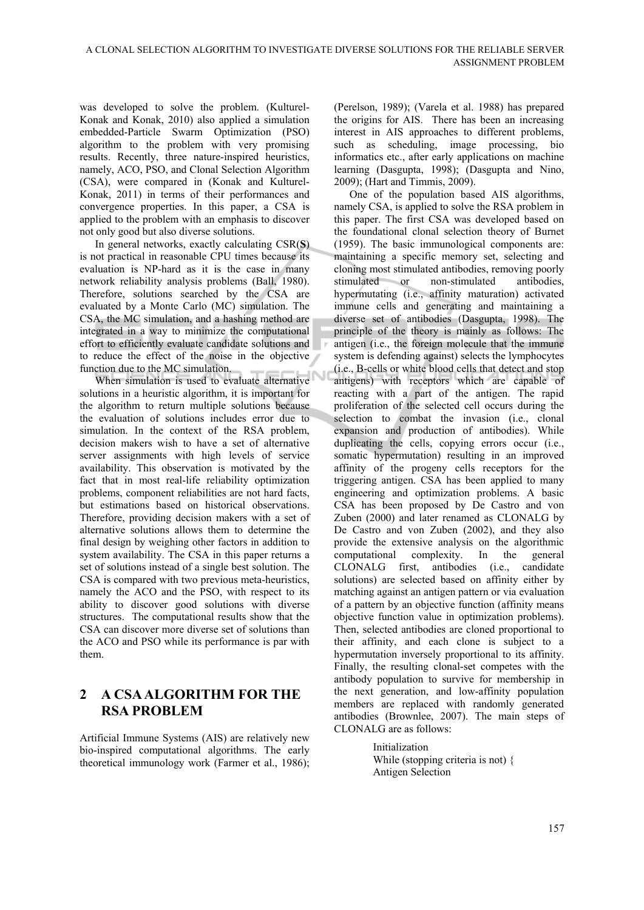was developed to solve the problem. (Kulturel-Konak and Konak, 2010) also applied a simulation embedded-Particle Swarm Optimization (PSO) algorithm to the problem with very promising results. Recently, three nature-inspired heuristics, namely, ACO, PSO, and Clonal Selection Algorithm (CSA), were compared in (Konak and Kulturel-Konak, 2011) in terms of their performances and convergence properties. In this paper, a CSA is applied to the problem with an emphasis to discover not only good but also diverse solutions.

In general networks, exactly calculating CSR(**S**) is not practical in reasonable CPU times because its evaluation is NP-hard as it is the case in many network reliability analysis problems (Ball, 1980). Therefore, solutions searched by the CSA are evaluated by a Monte Carlo (MC) simulation. The CSA, the MC simulation, and a hashing method are integrated in a way to minimize the computational effort to efficiently evaluate candidate solutions and to reduce the effect of the noise in the objective function due to the MC simulation.

When simulation is used to evaluate alternative solutions in a heuristic algorithm, it is important for the algorithm to return multiple solutions because the evaluation of solutions includes error due to simulation. In the context of the RSA problem, decision makers wish to have a set of alternative server assignments with high levels of service availability. This observation is motivated by the fact that in most real-life reliability optimization problems, component reliabilities are not hard facts, but estimations based on historical observations. Therefore, providing decision makers with a set of alternative solutions allows them to determine the final design by weighing other factors in addition to system availability. The CSA in this paper returns a set of solutions instead of a single best solution. The CSA is compared with two previous meta-heuristics, namely the ACO and the PSO, with respect to its ability to discover good solutions with diverse structures. The computational results show that the CSA can discover more diverse set of solutions than the ACO and PSO while its performance is par with them.

# **2 A CSA ALGORITHM FOR THE RSA PROBLEM**

Artificial Immune Systems (AIS) are relatively new bio-inspired computational algorithms. The early theoretical immunology work (Farmer et al., 1986); (Perelson, 1989); (Varela et al. 1988) has prepared the origins for AIS. There has been an increasing interest in AIS approaches to different problems, such as scheduling, image processing, bio informatics etc., after early applications on machine learning (Dasgupta, 1998); (Dasgupta and Nino, 2009); (Hart and Timmis, 2009).

One of the population based AIS algorithms, namely CSA, is applied to solve the RSA problem in this paper. The first CSA was developed based on the foundational clonal selection theory of Burnet (1959). The basic immunological components are: maintaining a specific memory set, selecting and cloning most stimulated antibodies, removing poorly stimulated or non-stimulated antibodies, hypermutating (i.e., affinity maturation) activated immune cells and generating and maintaining a diverse set of antibodies (Dasgupta, 1998). The principle of the theory is mainly as follows: The antigen (i.e., the foreign molecule that the immune system is defending against) selects the lymphocytes (i.e., B-cells or white blood cells that detect and stop antigens) with receptors which are capable of reacting with a part of the antigen. The rapid proliferation of the selected cell occurs during the selection to combat the invasion (i.e., clonal expansion and production of antibodies). While duplicating the cells, copying errors occur (i.e., somatic hypermutation) resulting in an improved affinity of the progeny cells receptors for the triggering antigen. CSA has been applied to many engineering and optimization problems. A basic CSA has been proposed by De Castro and von Zuben (2000) and later renamed as CLONALG by De Castro and von Zuben (2002), and they also provide the extensive analysis on the algorithmic computational complexity. In the general CLONALG first, antibodies (i.e., candidate solutions) are selected based on affinity either by matching against an antigen pattern or via evaluation of a pattern by an objective function (affinity means objective function value in optimization problems). Then, selected antibodies are cloned proportional to their affinity, and each clone is subject to a hypermutation inversely proportional to its affinity. Finally, the resulting clonal-set competes with the antibody population to survive for membership in the next generation, and low-affinity population members are replaced with randomly generated antibodies (Brownlee, 2007). The main steps of CLONALG are as follows:

> Initialization While (stopping criteria is not) { Antigen Selection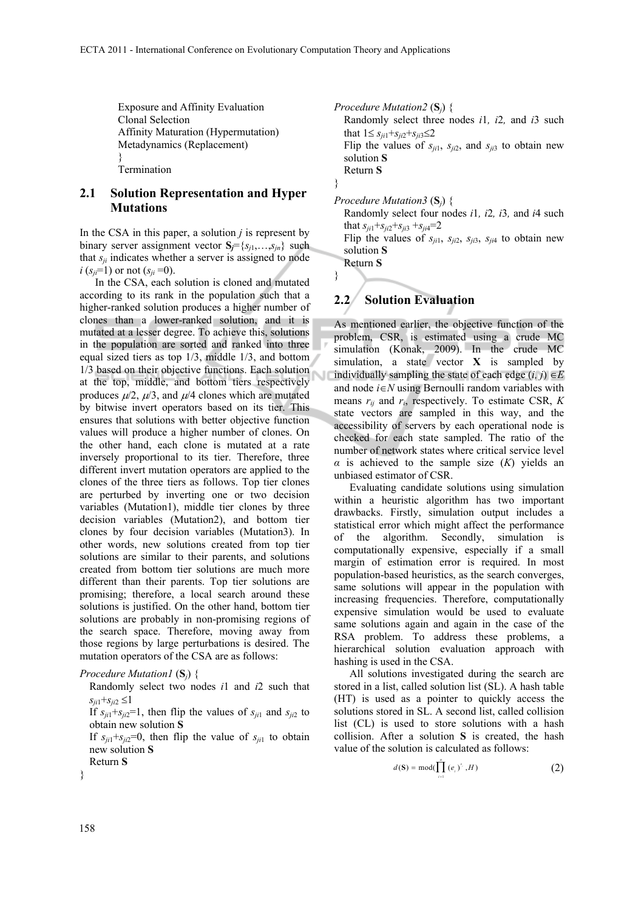Exposure and Affinity Evaluation Clonal Selection Affinity Maturation (Hypermutation) Metadynamics (Replacement) } Termination

#### **2.1 Solution Representation and Hyper Mutations**

In the CSA in this paper, a solution *j* is represent by binary server assignment vector  $S_i = \{s_{i1}, \ldots, s_{in}\}\$  such that  $s_{ij}$  indicates whether a server is assigned to node *i* ( $s_{ii}$ =1) or not ( $s_{ii}$ =0).

In the CSA, each solution is cloned and mutated according to its rank in the population such that a higher-ranked solution produces a higher number of clones than a lower-ranked solution, and it is mutated at a lesser degree. To achieve this, solutions in the population are sorted and ranked into three equal sized tiers as top 1/3, middle 1/3, and bottom 1/3 based on their objective functions. Each solution at the top, middle, and bottom tiers respectively produces  $\mu/2$ ,  $\mu/3$ , and  $\mu/4$  clones which are mutated by bitwise invert operators based on its tier. This ensures that solutions with better objective function values will produce a higher number of clones. On the other hand, each clone is mutated at a rate inversely proportional to its tier. Therefore, three different invert mutation operators are applied to the clones of the three tiers as follows. Top tier clones are perturbed by inverting one or two decision variables (Mutation1), middle tier clones by three decision variables (Mutation2), and bottom tier clones by four decision variables (Mutation3). In other words, new solutions created from top tier solutions are similar to their parents, and solutions created from bottom tier solutions are much more different than their parents. Top tier solutions are promising; therefore, a local search around these solutions is justified. On the other hand, bottom tier solutions are probably in non-promising regions of the search space. Therefore, moving away from those regions by large perturbations is desired. The mutation operators of the CSA are as follows:

```
Procedure Mutation1 (Sj) {
```
 Randomly select two nodes *i*1 and *i*2 such that  $s_{ii1} + s_{ii2} \leq 1$ 

If  $s_{ii1} + s_{ii2} = 1$ , then flip the values of  $s_{ii1}$  and  $s_{ii2}$  to obtain new solution **S**

If  $s_{ii1} + s_{ii2} = 0$ , then flip the value of  $s_{ii1}$  to obtain new solution **S**



}

*Procedure Mutation2* (**S***j*) { Randomly select three nodes *i*1*, i*2*,* and *i*3 such that  $1 \le s_{ii1} + s_{ji2} + s_{ji3} \le 2$ Flip the values of  $s_{ji1}$ ,  $s_{ji2}$ , and  $s_{ji3}$  to obtain new solution **S** Return **S** } *Procedure Mutation3* (**S***j*) { Randomly select four nodes *i*1*, i*2*, i*3*,* and *i*4 such

that  $s_{ji1} + s_{ji2} + s_{ji3} + s_{ji4} = 2$ Flip the values of  $s_{ji1}$ ,  $s_{ji2}$ ,  $s_{ji3}$ ,  $s_{ji4}$  to obtain new solution **S**

Return **S**

}

#### **2.2 Solution Evaluation**

As mentioned earlier, the objective function of the problem, CSR, is estimated using a crude MC simulation (Konak, 2009). In the crude MC simulation, a state vector **X** is sampled by individually sampling the state of each edge  $(i, j) \in E$ and node  $i \in N$  using Bernoulli random variables with means  $r_{ij}$  and  $r_i$ , respectively. To estimate CSR,  $K$ state vectors are sampled in this way, and the accessibility of servers by each operational node is checked for each state sampled. The ratio of the number of network states where critical service level *α* is achieved to the sample size (*K*) yields an unbiased estimator of CSR.

Evaluating candidate solutions using simulation within a heuristic algorithm has two important drawbacks. Firstly, simulation output includes a statistical error which might affect the performance of the algorithm. Secondly, simulation is computationally expensive, especially if a small margin of estimation error is required. In most population-based heuristics, as the search converges, same solutions will appear in the population with increasing frequencies. Therefore, computationally expensive simulation would be used to evaluate same solutions again and again in the case of the RSA problem. To address these problems, a hierarchical solution evaluation approach with hashing is used in the CSA.

All solutions investigated during the search are stored in a list, called solution list (SL). A hash table (HT) is used as a pointer to quickly access the solutions stored in SL. A second list, called collision list (CL) is used to store solutions with a hash collision. After a solution **S** is created, the hash value of the solution is calculated as follows:

$$
d(\mathbf{S}) = \text{mod}(\prod_{i=1}^{n} (e_i)^{s_i}, H)
$$
 (2)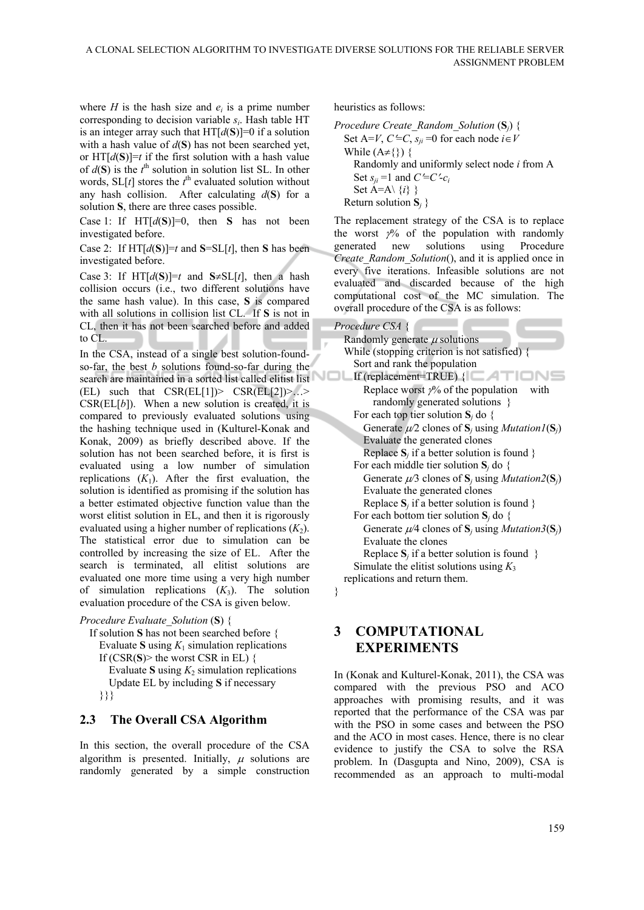where *H* is the hash size and  $e_i$  is a prime number corresponding to decision variable *si*. Hash table HT is an integer array such that  $HT[d(S)]=0$  if a solution with a hash value of *d*(**S**) has not been searched yet, or  $HT[d(S)] = t$  if the first solution with a hash value of  $d(S)$  is the  $t^{\text{th}}$  solution in solution list SL. In other words,  $SL[t]$  stores the  $t^{\text{th}}$  evaluated solution without any hash collision. After calculating  $d(S)$  for a solution **S**, there are three cases possible.

Case 1: If  $HT[d(S)]=0$ , then **S** has not been investigated before.

Case 2: If  $HT[d(S)] = t$  and  $S = SL[t]$ , then S has been investigated before.

Case 3: If  $HT[d(S)]=t$  and  $S\neq SL[t]$ , then a hash collision occurs (i.e., two different solutions have the same hash value). In this case, **S** is compared with all solutions in collision list CL. If **S** is not in CL, then it has not been searched before and added to CL.

In the CSA, instead of a single best solution-foundso-far, the best *b* solutions found-so-far during the search are maintained in a sorted list called elitist list  $(EL)$  such that  $CSR(EL[1])>CSR(EL[2])>...>$  $CSR(EL[b])$ . When a new solution is created, it is compared to previously evaluated solutions using the hashing technique used in (Kulturel-Konak and Konak, 2009) as briefly described above. If the solution has not been searched before, it is first is evaluated using a low number of simulation replications  $(K_1)$ . After the first evaluation, the solution is identified as promising if the solution has a better estimated objective function value than the worst elitist solution in EL, and then it is rigorously evaluated using a higher number of replications  $(K_2)$ . The statistical error due to simulation can be controlled by increasing the size of EL. After the search is terminated, all elitist solutions are evaluated one more time using a very high number of simulation replications  $(K_3)$ . The solution evaluation procedure of the CSA is given below.

```
Procedure Evaluate_Solution (S) {
```

```
 If solution S has not been searched before { 
Evaluate S using K_1 simulation replications
If (CSR(S) the worst CSR in EL) \{Evaluate S using K_2 simulation replications
   Update EL by including S if necessary 
 }}}
```
#### **2.3 The Overall CSA Algorithm**

In this section, the overall procedure of the CSA algorithm is presented. Initially,  $\mu$  solutions are randomly generated by a simple construction heuristics as follows:

```
Procedure Create_Random_Solution (Sj) {
Set A=V, C \leq C, s_{ii} = 0 for each node i \in VWhile (A \neq \{\}) {
    Randomly and uniformly select node i from A 
   Set s_{ii} =1 and C = C - c_iSet A=A\setminus\{i\} }
Return solution S_i }
```
The replacement strategy of the CSA is to replace the worst  $\frac{1}{2}$  of the population with randomly generated new solutions using Procedure *Create\_Random\_Solution*(), and it is applied once in every five iterations. Infeasible solutions are not evaluated and discarded because of the high computational cost of the MC simulation. The overall procedure of the CSA is as follows:

*Procedure CSA* {

| Randomly generate $\mu$ solutions                                  |  |  |  |  |  |  |  |  |  |
|--------------------------------------------------------------------|--|--|--|--|--|--|--|--|--|
| While (stopping criterion is not satisfied) $\{$                   |  |  |  |  |  |  |  |  |  |
| Sort and rank the population                                       |  |  |  |  |  |  |  |  |  |
| If (replacement=TRUE) $\{ \Box \Box \Box \Box$                     |  |  |  |  |  |  |  |  |  |
| Replace worst $\gamma$ % of the population<br>with                 |  |  |  |  |  |  |  |  |  |
| randomly generated solutions }                                     |  |  |  |  |  |  |  |  |  |
| For each top tier solution $S_i$ do {                              |  |  |  |  |  |  |  |  |  |
| Generate $\mu/2$ clones of $S_i$ using <i>Mutation l</i> ( $S_i$ ) |  |  |  |  |  |  |  |  |  |
| Evaluate the generated clones                                      |  |  |  |  |  |  |  |  |  |
| Replace $S_i$ if a better solution is found }                      |  |  |  |  |  |  |  |  |  |
| For each middle tier solution $S_i$ do {                           |  |  |  |  |  |  |  |  |  |
| Generate $\mu/3$ clones of $S_i$ using <i>Mutation</i> 2( $S_i$ )  |  |  |  |  |  |  |  |  |  |
| Evaluate the generated clones                                      |  |  |  |  |  |  |  |  |  |
| Replace $S_i$ if a better solution is found }                      |  |  |  |  |  |  |  |  |  |
| For each bottom tier solution $S_i$ do {                           |  |  |  |  |  |  |  |  |  |
| Generate $\mu/4$ clones of $S_i$ using <i>Mutation</i> 3( $S_i$ )  |  |  |  |  |  |  |  |  |  |
| Evaluate the clones                                                |  |  |  |  |  |  |  |  |  |
| Replace $S_i$ if a better solution is found $\}$                   |  |  |  |  |  |  |  |  |  |
| Simulate the elitist solutions using $K_3$                         |  |  |  |  |  |  |  |  |  |
| replications and return them.                                      |  |  |  |  |  |  |  |  |  |

}

# **3 COMPUTATIONAL EXPERIMENTS**

In (Konak and Kulturel-Konak, 2011), the CSA was compared with the previous PSO and ACO approaches with promising results, and it was reported that the performance of the CSA was par with the PSO in some cases and between the PSO and the ACO in most cases. Hence, there is no clear evidence to justify the CSA to solve the RSA problem. In (Dasgupta and Nino, 2009), CSA is recommended as an approach to multi-modal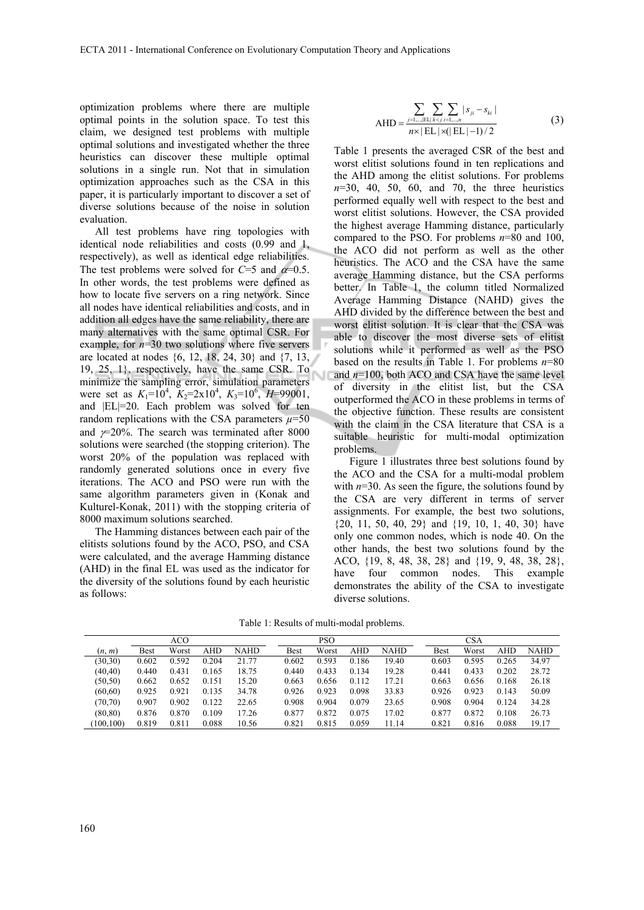optimization problems where there are multiple optimal points in the solution space. To test this claim, we designed test problems with multiple optimal solutions and investigated whether the three heuristics can discover these multiple optimal solutions in a single run. Not that in simulation optimization approaches such as the CSA in this paper, it is particularly important to discover a set of diverse solutions because of the noise in solution evaluation.

All test problems have ring topologies with identical node reliabilities and costs (0.99 and 1, respectively), as well as identical edge reliabilities. The test problems were solved for  $C=5$  and  $\alpha=0.5$ . In other words, the test problems were defined as how to locate five servers on a ring network. Since all nodes have identical reliabilities and costs, and in addition all edges have the same reliability, there are many alternatives with the same optimal CSR. For example, for  $n=30$  two solutions where five servers are located at nodes {6, 12, 18, 24, 30} and {7, 13, 19, 25, 1}, respectively, have the same CSR. To minimize the sampling error, simulation parameters were set as  $K_1=10^4$ ,  $K_2=2\times10^4$ ,  $K_3=10^6$ ,  $H=99001$ , and |EL|=20. Each problem was solved for ten random replications with the CSA parameters  $\mu$ =50 and  $\nu$ =20%. The search was terminated after 8000 solutions were searched (the stopping criterion). The worst 20% of the population was replaced with randomly generated solutions once in every five iterations. The ACO and PSO were run with the same algorithm parameters given in (Konak and Kulturel-Konak, 2011) with the stopping criteria of 8000 maximum solutions searched.

The Hamming distances between each pair of the elitists solutions found by the ACO, PSO, and CSA were calculated, and the average Hamming distance (AHD) in the final EL was used as the indicator for the diversity of the solutions found by each heuristic as follows:

$$
AHD = \frac{\sum_{j=1,\dots, |E L|} \sum_{k < j} \sum_{i=1,\dots,n} |s_{ji} - s_{ki}|}{n \times |E L| \times (|E L| - 1)/2} \tag{3}
$$

Table 1 presents the averaged CSR of the best and worst elitist solutions found in ten replications and the AHD among the elitist solutions. For problems *n*=30, 40, 50, 60, and 70, the three heuristics performed equally well with respect to the best and worst elitist solutions. However, the CSA provided the highest average Hamming distance, particularly compared to the PSO. For problems *n*=80 and 100, the ACO did not perform as well as the other heuristics. The ACO and the CSA have the same average Hamming distance, but the CSA performs better. In Table 1, the column titled Normalized Average Hamming Distance (NAHD) gives the AHD divided by the difference between the best and worst elitist solution. It is clear that the CSA was able to discover the most diverse sets of elitist solutions while it performed as well as the PSO based on the results in Table 1. For problems *n*=80 and *n*=100, both ACO and CSA have the same level of diversity in the elitist list, but the CSA outperformed the ACO in these problems in terms of the objective function. These results are consistent with the claim in the CSA literature that CSA is a suitable heuristic for multi-modal optimization problems.

Figure 1 illustrates three best solutions found by the ACO and the CSA for a multi-modal problem with  $n=30$ . As seen the figure, the solutions found by the CSA are very different in terms of server assignments. For example, the best two solutions, {20, 11, 50, 40, 29} and {19, 10, 1, 40, 30} have only one common nodes, which is node 40. On the other hands, the best two solutions found by the ACO, {19, 8, 48, 38, 28} and {19, 9, 48, 38, 28}, have four common nodes. This example demonstrates the ability of the CSA to investigate diverse solutions.

Table 1: Results of multi-modal problems.

|           | ACO   |       |            |       |             | PSO   |            |             |  | <b>CSA</b> |       |            |             |
|-----------|-------|-------|------------|-------|-------------|-------|------------|-------------|--|------------|-------|------------|-------------|
| (n, m)    | Best  | Worst | <b>AHD</b> | NAHD  | <b>Best</b> | Worst | <b>AHD</b> | <b>NAHD</b> |  | Best       | Worst | <b>AHD</b> | <b>NAHD</b> |
| (30, 30)  | 0.602 | 0.592 | 0.204      | 21.77 | 0.602       | 0.593 | 0.186      | 19.40       |  | 0.603      | 0.595 | 0.265      | 34.97       |
| (40, 40)  | 0.440 | 0.431 | 0.165      | 18.75 | 0.440       | 0.433 | 0.134      | 19.28       |  | 0.441      | 0.433 | 0.202      | 28.72       |
| (50, 50)  | 0.662 | 0.652 | 0.151      | 15.20 | 0.663       | 0.656 | 0.112      | 17.21       |  | 0.663      | 0.656 | 0.168      | 26.18       |
| (60, 60)  | 0.925 | 0.921 | 0.135      | 34.78 | 0.926       | 0.923 | 0.098      | 33.83       |  | 0.926      | 0.923 | 0.143      | 50.09       |
| (70, 70)  | 0.907 | 0.902 | 0.122      | 22.65 | 0.908       | 0.904 | 0.079      | 23.65       |  | 0.908      | 0.904 | 0.124      | 34.28       |
| (80, 80)  | 0.876 | 0.870 | 0.109      | 17.26 | 0.877       | 0.872 | 0.075      | 17.02       |  | 0.877      | 0.872 | 0.108      | 26.73       |
| (100.100) | 0.819 | 0.811 | 0.088      | 10.56 | 0.821       | 0.815 | 0.059      | 11.14       |  | 0.821      | 0.816 | 0.088      | 19.17       |